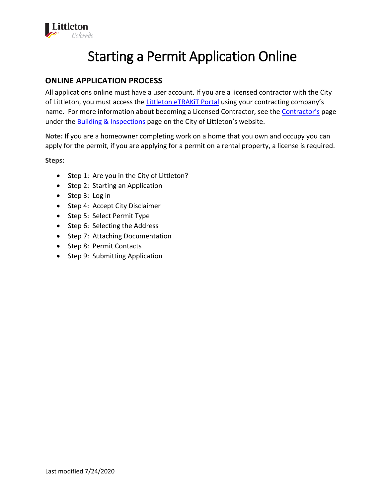

# Starting a Permit Application Online

## **ONLINE APPLICATION PROCESS**

All applications online must have a user account. If you are a licensed contractor with the City of Littleton, you must access th[e Littleton eTRAKiT Portal](https://permit9.littletongov.org/eTRAKiT) using your contracting company's name. For more information about becoming a Licensed Contractor, see the [Contractor's](https://www.littletongov.org/building-development/building-inspections/contractors) page under the **Building & Inspections** page on the City of Littleton's website.

**Note:** If you are a homeowner completing work on a home that you own and occupy you can apply for the permit, if you are applying for a permit on a rental property, a license is required.

**Steps:**

- Step 1: Are you in the City of Littleton?
- Step 2: Starting an Application
- Step 3: Log in
- Step 4: Accept City Disclaimer
- Step 5: Select Permit Type
- Step 6: Selecting the Address
- Step 7: Attaching Documentation
- Step 8: Permit Contacts
- Step 9: Submitting Application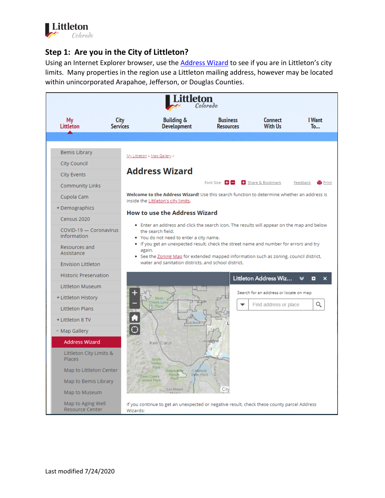

## **Step 1: Are you in the City of Littleton?**

Using an Internet Explorer browser, use the **[Address Wizard](https://www.littletongov.org/my-littleton/map-gallery/address-wizard)** to see if you are in Littleton's city limits. Many properties in the region use a Littleton mailing address, however may be located within unincorporated Arapahoe, Jefferson, or Douglas Counties.

| Colorado                                    |                         |                                                                                                                                                                                            |                                     |                                        |                     |  |  |
|---------------------------------------------|-------------------------|--------------------------------------------------------------------------------------------------------------------------------------------------------------------------------------------|-------------------------------------|----------------------------------------|---------------------|--|--|
| My<br>Littleton                             | City<br><b>Services</b> | <b>Building &amp;</b><br><b>Development</b>                                                                                                                                                | <b>Business</b><br><b>Resources</b> | <b>Connect</b><br><b>With Us</b>       | I Want<br>To        |  |  |
|                                             |                         |                                                                                                                                                                                            |                                     |                                        |                     |  |  |
| <b>Bemis Library</b>                        |                         | My Littleton » Map Gallery »                                                                                                                                                               |                                     |                                        |                     |  |  |
| City Council                                |                         |                                                                                                                                                                                            |                                     |                                        |                     |  |  |
| <b>City Events</b>                          |                         | <b>Address Wizard</b>                                                                                                                                                                      |                                     |                                        |                     |  |  |
| Community Links                             |                         |                                                                                                                                                                                            | Font Size: $\Box$                   | Share & Bookmark                       | Feedback<br>a Print |  |  |
| Cupola Cam                                  |                         | Welcome to the Address Wizard! Use this search function to determine whether an address is<br>inside the Littleton's city limits.                                                          |                                     |                                        |                     |  |  |
| + Demographics                              |                         | <b>How to use the Address Wizard</b>                                                                                                                                                       |                                     |                                        |                     |  |  |
| Census 2020                                 |                         |                                                                                                                                                                                            |                                     |                                        |                     |  |  |
| COVID-19 - Coronavirus<br>Information       |                         | • Enter an address and click the search icon. The results will appear on the map and below<br>the search field.<br>. You do not need to enter a city name.                                 |                                     |                                        |                     |  |  |
| Resources and<br>Assistance                 |                         | . If you get an unexpected result, check the street name and number for errors and try<br>again.<br>• See the Zoning Map for extended mapped information such as zoning, council district, |                                     |                                        |                     |  |  |
| <b>Envision Littleton</b>                   |                         | water and sanitation districts, and school district.                                                                                                                                       |                                     |                                        |                     |  |  |
| <b>Historic Preservation</b>                |                         |                                                                                                                                                                                            |                                     | Littleton Address Wiz                  | է<br>о              |  |  |
| Littleton Museum                            |                         |                                                                                                                                                                                            |                                     |                                        |                     |  |  |
| + Littleton History                         |                         | Bear/<br><b>Creek Lake</b>                                                                                                                                                                 |                                     | Search for an address or locate on map |                     |  |  |
| <b>Littleton Plans</b>                      |                         | Park                                                                                                                                                                                       |                                     | Find address or place                  | Q                   |  |  |
| + Littleton 8 TV                            |                         | DENVER                                                                                                                                                                                     |                                     |                                        |                     |  |  |
| - Map Gallery                               |                         |                                                                                                                                                                                            |                                     |                                        |                     |  |  |
| <b>Address Wizard</b>                       |                         | Ken Caryl                                                                                                                                                                                  | Columbine                           |                                        |                     |  |  |
| Littleton City Limits &<br>Places           |                         | South<br>Valley                                                                                                                                                                            |                                     |                                        |                     |  |  |
| Map to Littleton Center                     |                         | Park<br>C bátfie Id<br>Hildebrand<br>Ranch<br>State Park                                                                                                                                   |                                     |                                        |                     |  |  |
| Map to Bemis Library                        |                         | Deer Creek<br>Park<br>Canyon Park                                                                                                                                                          |                                     |                                        |                     |  |  |
| Map to Museum                               |                         | Lockheed                                                                                                                                                                                   | City                                |                                        |                     |  |  |
| Map to Aging Well<br><b>Resource Center</b> | Wizards:                | If you continue to get an unexpected or negative result, check these county parcel Address                                                                                                 |                                     |                                        |                     |  |  |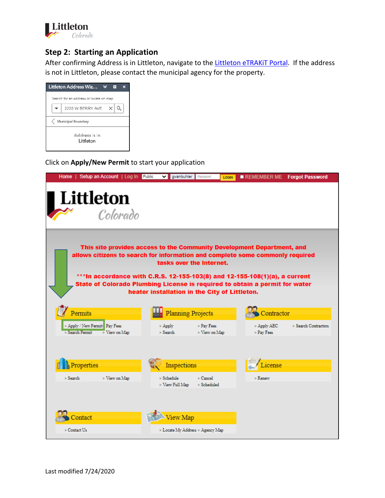

#### **Step 2: Starting an Application**

After confirming Address is in Littleton, navigate to the Littleton eTRAKIT Portal[. I](https://permit9.littletongov.org/etrakit/)f the address is not in Littleton, please contact the municipal agency for the property.

| Littleton Address Wiz                  |  |  |  |  |  |  |  |
|----------------------------------------|--|--|--|--|--|--|--|
| Search for an address or locate on map |  |  |  |  |  |  |  |
| 2255 W BERRY AVE                       |  |  |  |  |  |  |  |
| Municipal Boundary                     |  |  |  |  |  |  |  |
| Address is in<br>Littleton             |  |  |  |  |  |  |  |

Click on **Apply/New Permit** to start your application

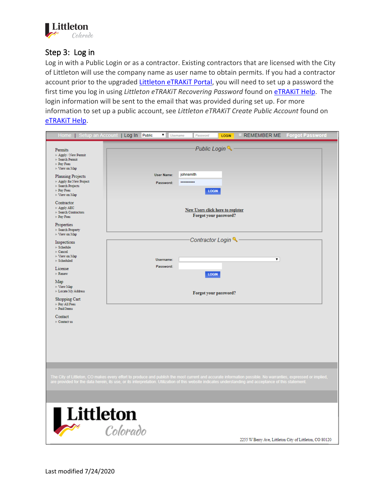

### Step 3: Log in

Log in with a Public Login or as a contractor. Existing contractors that are licensed with the City of Littleton will use the company name as user name to obtain permits. If you had a contractor account prior to the upgraded Littleton eTRAKIT Portal, you will need to set up a password the first time you log in using *Littleton eTRAKiT Recovering Password* found on **eTRAKIT Help**. The login information will be sent to the email that was provided during set up. For more information to set up a public account, see *Littleton eTRAKiT Create Public Account* found on [eTRAKiT Help.](https://www.littletongov.org/building-development/etrakit-portal)

| Home   Setup an Account   Log In Public                                                                                                         | ▼  <br><b>Usemame</b>                                                                                                                                                                                                                                                                                                   | Password                                                         | <b>LOGIN</b> | <b>LI REMEMBER ME</b> | <b>Forgot Password</b>                                  |  |
|-------------------------------------------------------------------------------------------------------------------------------------------------|-------------------------------------------------------------------------------------------------------------------------------------------------------------------------------------------------------------------------------------------------------------------------------------------------------------------------|------------------------------------------------------------------|--------------|-----------------------|---------------------------------------------------------|--|
| Permits<br>Apply / New Permit<br>Search Permit<br>Pav Fees<br>View on Map<br><b>Planning Projects</b>                                           | <b>User Name:</b>                                                                                                                                                                                                                                                                                                       | Public Login<br>johnsmith                                        |              |                       |                                                         |  |
| Apply for New Project<br>Search Projects<br>Pay Fees<br>View on Map                                                                             | Password:                                                                                                                                                                                                                                                                                                               | <br><b>LOGIN</b>                                                 |              |                       |                                                         |  |
| Contractor<br>Apply AEC<br>Search Contractors<br>Pay Fees<br>Properties<br>Search Property                                                      |                                                                                                                                                                                                                                                                                                                         | <b>New Users click here to register</b><br>Forgot your password? |              |                       |                                                         |  |
| $\blacksquare$ View on Map                                                                                                                      |                                                                                                                                                                                                                                                                                                                         |                                                                  |              |                       |                                                         |  |
| Inspections<br>Schedule<br>Cancel<br>View on Map<br>Scheduled<br>License<br>$\blacksquare$ Renew<br>Map<br>View Map<br><b>Locate My Address</b> | Username:<br>Password:                                                                                                                                                                                                                                                                                                  | Contractor Login<br><b>LOGIN</b><br>Forgot your password?        |              | ▼                     |                                                         |  |
| Shopping Cart<br>Pay All Fees<br>Paid Items<br>Contact<br>Contact us                                                                            |                                                                                                                                                                                                                                                                                                                         |                                                                  |              |                       |                                                         |  |
|                                                                                                                                                 | The City of Littleton, CO makes every effort to produce and publish the most current and accurate information possible. No warranties, expressed or implied,<br>are provided for the data herein, its use, or its interpretation. Utilization of this website indicates understanding and acceptance of this statement. |                                                                  |              |                       |                                                         |  |
| Littleton                                                                                                                                       | Colorado                                                                                                                                                                                                                                                                                                                |                                                                  |              |                       | 2255 W Berry Ave, Littleton City of Littleton, CO 80120 |  |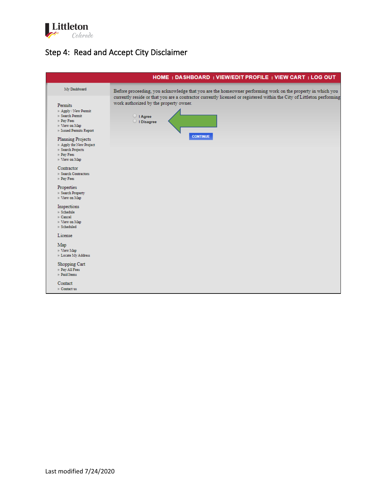

## Step 4: Read and Accept City Disclaimer

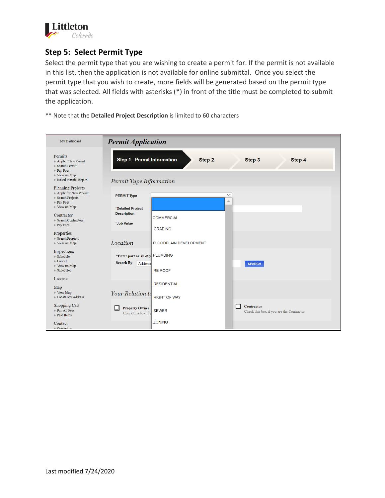

## **Step 5: Select Permit Type**

Select the permit type that you are wishing to create a permit for. If the permit is not available in this list, then the application is not available for online submittal. Once you select the permit type that you wish to create, more fields will be generated based on the permit type that was selected. All fields with asterisks (\*) in front of the title must be completed to submit the application.

\*\* Note that the **Detailed Project Description** is limited to 60 characters

| My Dashboard                                                                                              | <b>Permit Application</b>                                              |                                           |                   |                                                               |
|-----------------------------------------------------------------------------------------------------------|------------------------------------------------------------------------|-------------------------------------------|-------------------|---------------------------------------------------------------|
| Permits<br>Apply / New Permit<br>Search Permit<br>Pay Fees<br>View on Map<br><b>Issued Permits Report</b> | <b>Step 1 Permit Information</b><br>Permit Type Information            | Step 2                                    |                   | Step 3<br>Step 4                                              |
| <b>Planning Projects</b><br>Apply for New Project<br>Search Projects                                      | <b>PERMIT Type</b>                                                     |                                           | $\checkmark$<br>Δ |                                                               |
| Pay Fees<br>View on Map<br>Contractor<br>Search Contractors<br>$\blacktriangleright$ Pay Fees             | *Detailed Project<br><b>Description:</b><br>*Job Value                 | <b>COMMERCIAL</b><br><b>GRADING</b>       |                   |                                                               |
| Properties<br>Search Property<br>View on Map                                                              | Location                                                               | <b>FLOODPLAIN DEVELOPMENT</b>             |                   |                                                               |
| Inspections<br>Schedule<br>Cancel<br>$\blacktriangleright$ View on Map<br>Scheduled                       | *Enter part or all of y PLUMBING<br><b>Search By</b><br><b>Address</b> | <b>RE ROOF</b>                            |                   | <b>SEARCH</b>                                                 |
| License<br>Map<br>$\blacktriangleright$ View Map<br><b>Locate My Address</b>                              | <b>Your Relation to</b>                                                | <b>RESIDENTIAL</b><br><b>RIGHT OF WAY</b> |                   |                                                               |
| Shopping Cart<br>Pay All Fees<br>Paid Items                                                               | <b>Property Owner</b><br>Check this box if y                           | <b>SEWER</b>                              | П                 | <b>Contractor</b><br>Check this box if you are the Contractor |
| Contact<br>$\blacksquare$ Contact us                                                                      |                                                                        | <b>ZONING</b>                             |                   |                                                               |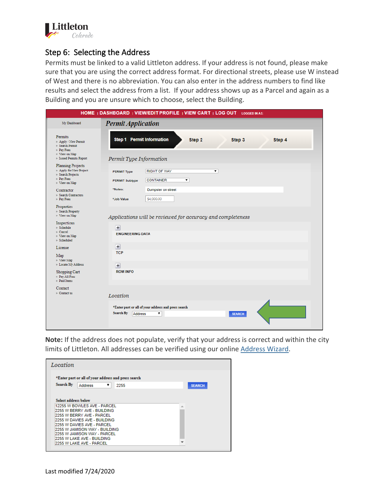

#### Step 6: Selecting the Address

Permits must be linked to a valid Littleton address. If your address is not found, please make sure that you are using the correct address format. For directional streets, please use W instead of West and there is no abbreviation. You can also enter in the address numbers to find like results and select the address from a list. If your address shows up as a Parcel and again as a Building and you are unsure which to choose, select the Building.

|                                                                                                 | HOME   DASHBOARD   VIEW/EDIT PROFILE   VIEW CART   LOG OUT LOGGED IN AS:                           |
|-------------------------------------------------------------------------------------------------|----------------------------------------------------------------------------------------------------|
| My Dashboard                                                                                    | <b>Permit Application</b>                                                                          |
| <b>Permits</b><br>Apply / New Permit<br>Search Permit<br>Pav Fees<br>View on Map                | Step 1 Permit Information<br>Step 2<br>Step 3<br>Step 4                                            |
| <b>Issued Permits Report</b>                                                                    | Permit Type Information                                                                            |
| <b>Planning Projects</b><br>Apply for New Project<br>Search Projects<br>Pav Fees<br>View on Map | <b>RIGHT OF WAY</b><br>۷.<br><b>PERMIT Type</b><br><b>CONTAINER</b><br>۷.<br><b>PERMIT Subtype</b> |
| Contractor<br>Search Contractors<br>Pav Fees                                                    | *Notes:<br>Dumpster on street<br>\$4,000.00<br>*Job Value                                          |
| Properties                                                                                      |                                                                                                    |
| Search Property<br>View on Map                                                                  | Applications will be reviewed for accuracy and completeness                                        |
| Inspections<br>Schedule<br>Cancel<br>View on Map<br>Scheduled                                   | $+$<br><b>ENGINEERING DATA</b>                                                                     |
| License                                                                                         | $\overline{+}$                                                                                     |
| Map<br>View Map<br><b>Locate My Address</b>                                                     | <b>TCP</b>                                                                                         |
| Shopping Cart<br>Pav All Fees<br>Paid Items                                                     | $\overline{+}$<br><b>ROW INFO</b>                                                                  |
| Contact<br>Contact us                                                                           | Location                                                                                           |
|                                                                                                 |                                                                                                    |
|                                                                                                 | *Enter part or all of your address and press search                                                |
|                                                                                                 | Search By<br>Address<br>۷.<br><b>SEARCH</b>                                                        |
|                                                                                                 |                                                                                                    |

**Note:** If the address does not populate, verify that your address is correct and within the city limits of Littleton. All addresses can be verified using our online [Address Wizard.](https://www.littletongov.org/my-littleton/map-gallery/address-wizard)

| Location             |                                                                                                                                                                                                                                                                                   |      |               |
|----------------------|-----------------------------------------------------------------------------------------------------------------------------------------------------------------------------------------------------------------------------------------------------------------------------------|------|---------------|
|                      | *Enter part or all of your address and press search                                                                                                                                                                                                                               |      |               |
| Search By            | <b>Address</b><br>▼                                                                                                                                                                                                                                                               | 2255 | <b>SEARCH</b> |
| Select address below | 12255 W BOWLES AVE - PARCEL<br>2255 W BERRY AVE - BUILDING<br>2255 W BERRY AVE - PARCEL<br>2255 W DAVIES AVE - BUILDING<br>12255 W DAVIES AVE - PARCEL<br>2255 W JAMISON WAY - BUILDING<br>2255 W JAMISON WAY - PARCEL<br>2255 W LAKE AVE - BUILDING<br>12255 W LAKE AVE - PARCEL |      |               |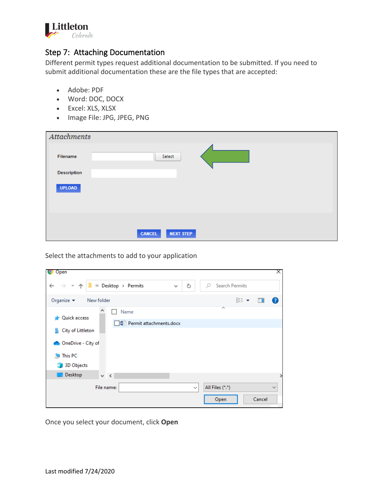

## Step 7: Attaching Documentation

Different permit types request additional documentation to be submitted. If you need to submit additional documentation these are the file types that are accepted:

- Adobe: PDF
- Word: DOC, DOCX
- Excel: XLS, XLSX
- Image File: JPG, JPEG, PNG

| Attachments        |               |                  |  |
|--------------------|---------------|------------------|--|
| Filename           |               | Select           |  |
| <b>Description</b> |               |                  |  |
| <b>UPLOAD</b>      |               |                  |  |
|                    |               |                  |  |
|                    | <b>CANCEL</b> | <b>NEXT STEP</b> |  |

Select the attachments to add to your application

| Open                                                             |            |                                 |              |              |                            |     |        | X.            |
|------------------------------------------------------------------|------------|---------------------------------|--------------|--------------|----------------------------|-----|--------|---------------|
| $\rightarrow$<br>v A                                             |            | « Desktop > Permits             | $\checkmark$ | Ō            | <b>Search Permits</b><br>Ω |     |        |               |
| Organize $\blacktriangledown$                                    | New folder |                                 |              |              |                            | 距 ▼ | $\Box$ | $\mathbf{C}$  |
| <b>Quick access</b>                                              |            | Name<br>Permit attachments.docx |              |              | $\overline{\phantom{a}}$   |     |        |               |
| City of Littleton<br>OneDrive - City of<br>This PC<br>3D Objects |            |                                 |              |              |                            |     |        |               |
| Desktop                                                          | $\vee$ <   |                                 |              |              |                            |     |        | $\rightarrow$ |
|                                                                  | File name: |                                 |              | $\checkmark$ | All Files (*.*)<br>Open    |     | Cancel | $\checkmark$  |

Once you select your document, click **Open**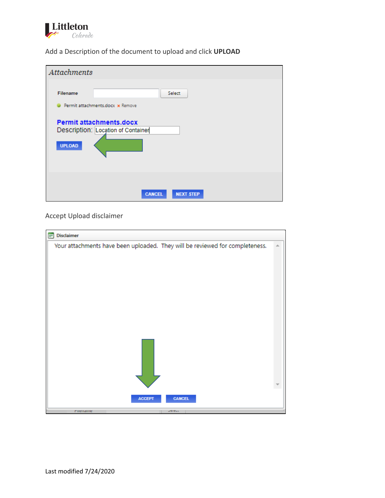

Add a Description of the document to upload and click **UPLOAD**

| <b>Attachments</b>                                                                                                                                     |
|--------------------------------------------------------------------------------------------------------------------------------------------------------|
| <b>Filename</b><br>Select<br>Permit attachments.docx x Remove<br><b>Permit attachments.docx</b><br>Description: Location of Container<br><b>UPLOAD</b> |
| <b>CANCEL</b><br><b>NEXT STEP</b>                                                                                                                      |

Accept Upload disclaimer

| Your attachments have been uploaded. They will be reviewed for completeness. |  |
|------------------------------------------------------------------------------|--|
|                                                                              |  |
| <b>CANCEL</b><br><b>ACCEPT</b><br>mieriame<br><b>DETECT</b>                  |  |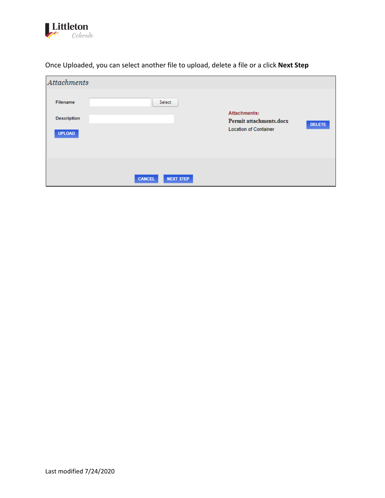

| <b>Attachments</b>                              |               |                                                                         |               |
|-------------------------------------------------|---------------|-------------------------------------------------------------------------|---------------|
| Filename<br><b>Description</b><br><b>UPLOAD</b> | Select        | Attachments:<br>Permit attachments.docx<br><b>Location of Container</b> | <b>DELETE</b> |
|                                                 | <b>CANCEL</b> | <b>NEXT STEP</b>                                                        |               |

Once Uploaded, you can select another file to upload, delete a file or a click **Next Step**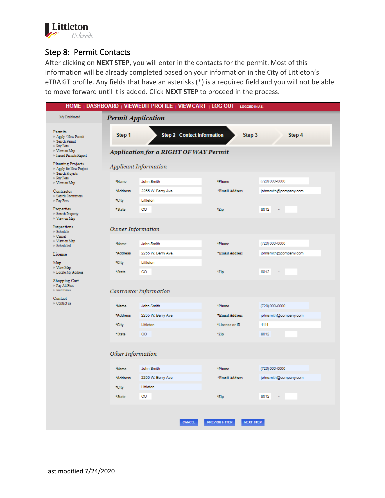

### Step 8: Permit Contacts

After clicking on **NEXT STEP**, you will enter in the contacts for the permit. Most of this information will be already completed based on your information in the City of Littleton's eTRAKiT profile. Any fields that have an asterisks (\*) is a required field and you will not be able to move forward until it is added. Click **NEXT STEP** to proceed in the process.

|                                                                      |                           | HOME   DASHBOARD   VIEW/EDIT PROFILE   VIEW CART   LOG OUT | <b>LOGGED IN A S:</b>                    |                       |  |  |
|----------------------------------------------------------------------|---------------------------|------------------------------------------------------------|------------------------------------------|-----------------------|--|--|
| My Dashboard                                                         | <b>Permit Application</b> |                                                            |                                          |                       |  |  |
| Permits<br>Apply / New Permit<br>Search Permit<br>Pay Fees           | Step 1                    | <b>Step 2 Contact Information</b>                          | Step 3                                   | Step 4                |  |  |
| View on Map<br>Issued Permits Report                                 |                           | Application for a RIGHT OF WAY Permit                      |                                          |                       |  |  |
| <b>Planning Projects</b><br>Apply for New Project<br>Search Projects | Applicant Information     |                                                            |                                          |                       |  |  |
| Pay Fees<br>View on Map                                              | *Name                     | John Smith                                                 | *Phone                                   | (720) 000-0000        |  |  |
| Contractor                                                           | *Address                  | 2255 W. Berry Ave.                                         | *Email Address                           | johnsmith@company.com |  |  |
| Search Contractors<br>Pay Fees                                       | *City                     | Littleton                                                  |                                          |                       |  |  |
| Properties<br>Search Property<br>View on Map                         | *State                    | CO                                                         | *Zip                                     | 8012<br>÷             |  |  |
| Inspections<br>Schedule<br>Cancel                                    | Owner Information         |                                                            |                                          |                       |  |  |
| View on Map<br>Scheduled                                             | *Name                     | John Smith                                                 | *Phone                                   | (720) 000-0000        |  |  |
| License                                                              | *Address                  | 2255 W. Berry Ave.                                         | *Email Address                           | johnsmith@company.com |  |  |
| Map<br><b>View Map</b>                                               | *City                     | Littleton                                                  |                                          |                       |  |  |
| Locate My Address                                                    | *State                    | CO                                                         | *Zip                                     | 8012                  |  |  |
| Shopping Cart<br>Pay All Fees<br>Paid Items                          |                           | Contractor Information                                     |                                          |                       |  |  |
| Contact<br>Contact us                                                | *Name                     | John Smith                                                 | *Phone                                   | (720) 000-0000        |  |  |
|                                                                      | *Address                  | 2255 W. Berry Ave                                          | *Email Address                           | johnsmith@company.com |  |  |
|                                                                      | *City                     | Littleton                                                  | *License or ID                           | 1111                  |  |  |
|                                                                      | * State                   | CO                                                         | *Zip                                     | 8012                  |  |  |
|                                                                      |                           |                                                            |                                          |                       |  |  |
|                                                                      | Other Information         |                                                            |                                          |                       |  |  |
|                                                                      | *Name                     | John Smith                                                 | *Phone                                   | (720) 000-0000        |  |  |
|                                                                      | *Address                  | 2255 W. Berry Ave                                          | *Email Address                           | johnsmith@company.com |  |  |
|                                                                      | *City                     | Littleton                                                  |                                          |                       |  |  |
|                                                                      | *State                    | CO                                                         | *Zip                                     | 8012<br>÷             |  |  |
|                                                                      |                           |                                                            |                                          |                       |  |  |
|                                                                      |                           | <b>CANCEL</b>                                              | <b>PREVIOUS STEP</b><br><b>NEXT STEP</b> |                       |  |  |
|                                                                      |                           |                                                            |                                          |                       |  |  |